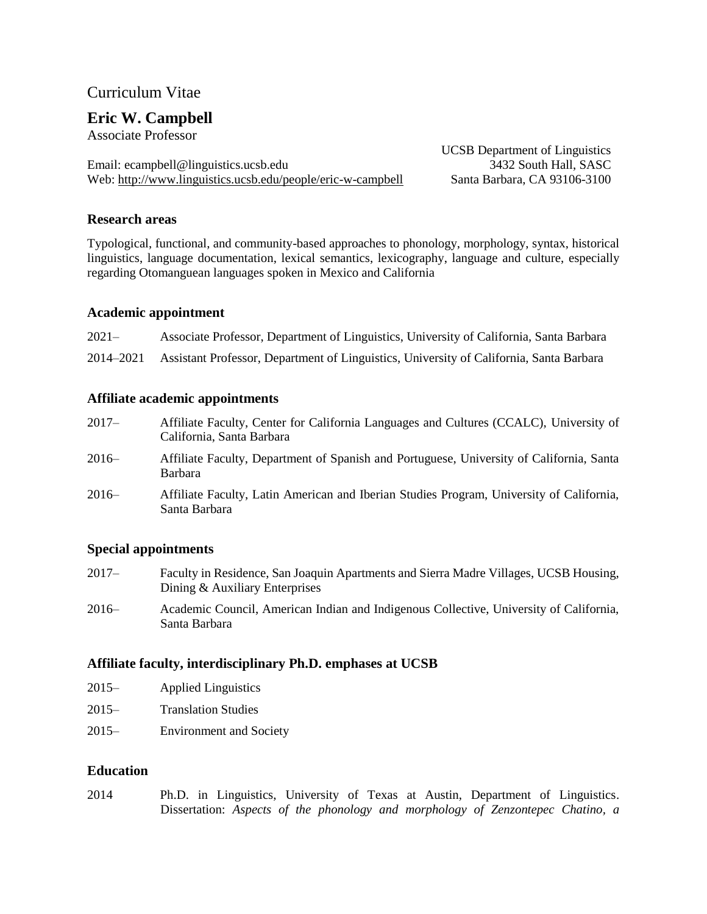# Curriculum Vitae

# **Eric W. Campbell**

Associate Professor

Email: ecampbell@linguistics.ucsb.edu 3432 South Hall, SASC Web: <http://www.linguistics.ucsb.edu/people/eric-w-campbell> Santa Barbara, CA 93106-3100

UCSB Department of Linguistics

## **Research areas**

Typological, functional, and community-based approaches to phonology, morphology, syntax, historical linguistics, language documentation, lexical semantics, lexicography, language and culture, especially regarding Otomanguean languages spoken in Mexico and California

## **Academic appointment**

| $2021 -$ | Associate Professor, Department of Linguistics, University of California, Santa Barbara           |
|----------|---------------------------------------------------------------------------------------------------|
|          | 2014–2021 Assistant Professor, Department of Linguistics, University of California, Santa Barbara |

## **Affiliate academic appointments**

- 2017– Affiliate Faculty, Center for California Languages and Cultures (CCALC), University of California, Santa Barbara
- 2016– Affiliate Faculty, Department of Spanish and Portuguese, University of California, Santa Barbara
- 2016– Affiliate Faculty, Latin American and Iberian Studies Program, University of California, Santa Barbara

## **Special appointments**

- 2017– Faculty in Residence, San Joaquin Apartments and Sierra Madre Villages, UCSB Housing, Dining & Auxiliary Enterprises
- 2016– Academic Council, American Indian and Indigenous Collective, University of California, Santa Barbara

## **Affiliate faculty, interdisciplinary Ph.D. emphases at UCSB**

- 2015– Applied Linguistics
- 2015– Translation Studies
- 2015– Environment and Society

## **Education**

2014 Ph.D. in Linguistics, University of Texas at Austin, Department of Linguistics. Dissertation: *Aspects of the phonology and morphology of Zenzontepec Chatino, a*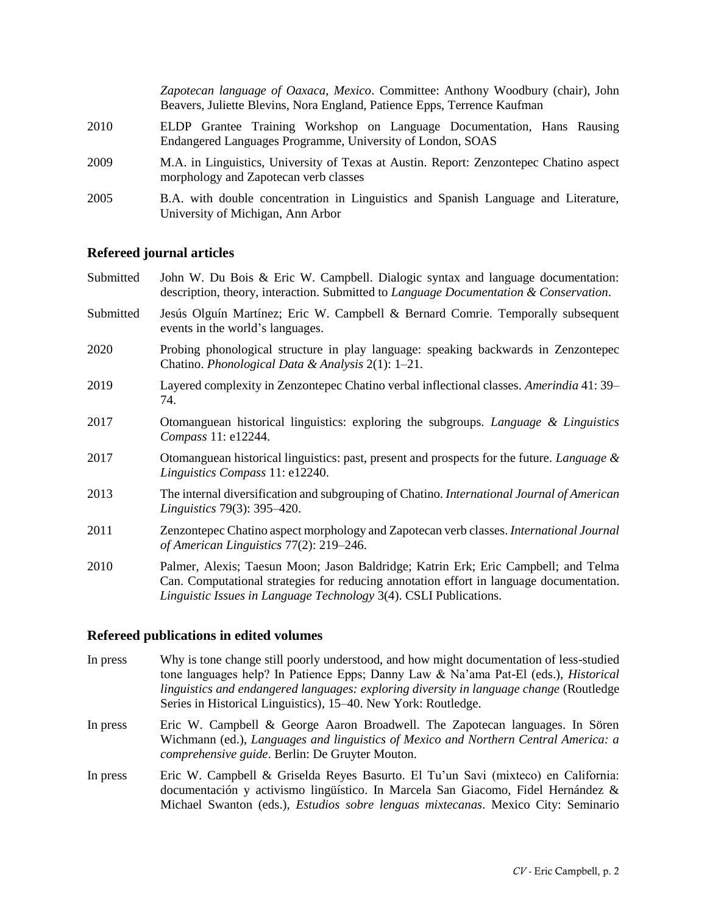|      | Zapotecan language of Oaxaca, Mexico. Committee: Anthony Woodbury (chair), John<br>Beavers, Juliette Blevins, Nora England, Patience Epps, Terrence Kaufman |  |
|------|-------------------------------------------------------------------------------------------------------------------------------------------------------------|--|
| 2010 | ELDP Grantee Training Workshop on Language Documentation, Hans Rausing<br>Endangered Languages Programme, University of London, SOAS                        |  |
| 2009 | M.A. in Linguistics, University of Texas at Austin. Report: Zenzontepec Chatino aspect<br>morphology and Zapotecan verb classes                             |  |
| 2005 | B.A. with double concentration in Linguistics and Spanish Language and Literature,<br>University of Michigan, Ann Arbor                                     |  |

## **Refereed journal articles**

- Submitted John W. Du Bois & Eric W. Campbell. Dialogic syntax and language documentation: description, theory, interaction. Submitted to *Language Documentation & Conservation*.
- Submitted Jesús Olguín Martínez; Eric W. Campbell & Bernard Comrie. Temporally subsequent events in the world's languages.
- 2020 Probing phonological structure in play language: speaking backwards in Zenzontepec Chatino. *Phonological Data & Analysis* 2(1): 1‒21.
- 2019 Layered complexity in Zenzontepec Chatino verbal inflectional classes. *Amerindia* 41: 39‒ 74.
- 2017 Otomanguean historical linguistics: exploring the subgroups. *Language & Linguistics Compass* 11: e12244.
- 2017 Otomanguean historical linguistics: past, present and prospects for the future. *Language & Linguistics Compass* 11: e12240.
- 2013 [The internal diversification and subgrouping](http://www.jstor.org/stable/10.1086/670924) of Chatino. *International Journal of American Linguistics* 79(3): 395–420.
- 2011 Zenzontepec Chatino aspect [morphology and Zapotecan verb classes.](http://www.jstor.org/stable/10.1086/659216) *International Journal of American Linguistics* 77(2): 219–246.
- 2010 Palmer, Alexis; Taesun Moon; Jason Baldridge; Katrin Erk; Eric Campbell; and Telma Can. Computational strategies for [reducing annotation effort in language documentation.](http://journals.linguisticsociety.org/elanguage/lilt/article/view/663/524.html) *Linguistic Issues in Language Technology* 3(4). CSLI Publications.

#### **Refereed publications in edited volumes**

- In press Why is tone change still poorly understood, and how might documentation of less-studied tone languages help? In Patience Epps; Danny Law & Na'ama Pat-El (eds.), *Historical linguistics and endangered languages: exploring diversity in language change* (Routledge Series in Historical Linguistics), 15-40. New York: Routledge.
- In press Eric W. Campbell & George Aaron Broadwell. The Zapotecan languages. In Sören Wichmann (ed.), *Languages and linguistics of Mexico and Northern Central America: a comprehensive guide*. Berlin: De Gruyter Mouton.
- In press Eric W. Campbell & Griselda Reyes Basurto. El Tu'un Savi (mixteco) en California: documentación y activismo lingüístico. In Marcela San Giacomo, Fidel Hernández & Michael Swanton (eds.), *Estudios sobre lenguas mixtecanas*. Mexico City: Seminario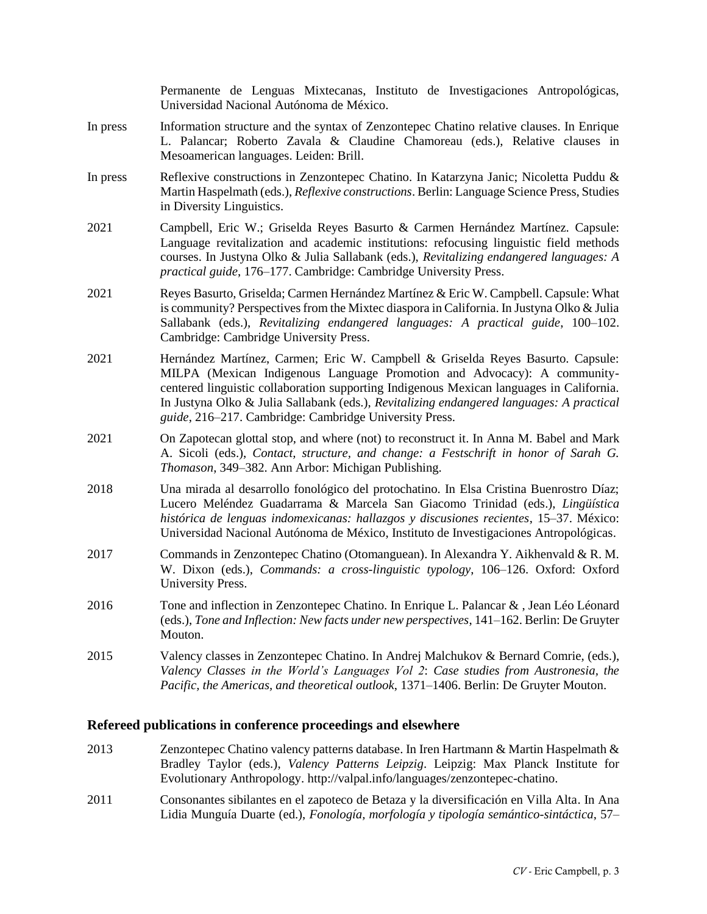|          | Permanente de Lenguas Mixtecanas, Instituto de Investigaciones Antropológicas,<br>Universidad Nacional Autónoma de México.                                                                                                                                                                                                                                                                                    |
|----------|---------------------------------------------------------------------------------------------------------------------------------------------------------------------------------------------------------------------------------------------------------------------------------------------------------------------------------------------------------------------------------------------------------------|
| In press | Information structure and the syntax of Zenzontepec Chatino relative clauses. In Enrique<br>L. Palancar; Roberto Zavala & Claudine Chamoreau (eds.), Relative clauses in<br>Mesoamerican languages. Leiden: Brill.                                                                                                                                                                                            |
| In press | Reflexive constructions in Zenzontepec Chatino. In Katarzyna Janic; Nicoletta Puddu &<br>Martin Haspelmath (eds.), Reflexive constructions. Berlin: Language Science Press, Studies<br>in Diversity Linguistics.                                                                                                                                                                                              |
| 2021     | Campbell, Eric W.; Griselda Reyes Basurto & Carmen Hernández Martínez. Capsule:<br>Language revitalization and academic institutions: refocusing linguistic field methods<br>courses. In Justyna Olko & Julia Sallabank (eds.), Revitalizing endangered languages: A<br>practical guide, 176–177. Cambridge: Cambridge University Press.                                                                      |
| 2021     | Reyes Basurto, Griselda; Carmen Hernández Martínez & Eric W. Campbell. Capsule: What<br>is community? Perspectives from the Mixtec diaspora in California. In Justyna Olko & Julia<br>Sallabank (eds.), Revitalizing endangered languages: A practical guide, 100-102.<br>Cambridge: Cambridge University Press.                                                                                              |
| 2021     | Hernández Martínez, Carmen; Eric W. Campbell & Griselda Reyes Basurto. Capsule:<br>MILPA (Mexican Indigenous Language Promotion and Advocacy): A community-<br>centered linguistic collaboration supporting Indigenous Mexican languages in California.<br>In Justyna Olko & Julia Sallabank (eds.), Revitalizing endangered languages: A practical<br>guide, 216–217. Cambridge: Cambridge University Press. |
| 2021     | On Zapotecan glottal stop, and where (not) to reconstruct it. In Anna M. Babel and Mark<br>A. Sicoli (eds.), Contact, structure, and change: a Festschrift in honor of Sarah G.<br>Thomason, 349–382. Ann Arbor: Michigan Publishing.                                                                                                                                                                         |
| 2018     | Una mirada al desarrollo fonológico del protochatino. In Elsa Cristina Buenrostro Díaz;<br>Lucero Meléndez Guadarrama & Marcela San Giacomo Trinidad (eds.), Lingüística<br>histórica de lenguas indomexicanas: hallazgos y discusiones recientes, 15-37. México:<br>Universidad Nacional Autónoma de México, Instituto de Investigaciones Antropológicas.                                                    |
| 2017     | Commands in Zenzontepec Chatino (Otomanguean). In Alexandra Y. Aikhenvald & R. M.<br>W. Dixon (eds.), Commands: a cross-linguistic typology, 106-126. Oxford: Oxford<br>University Press.                                                                                                                                                                                                                     |
| 2016     | Tone and inflection in Zenzontepec Chatino. In Enrique L. Palancar &, Jean Léo Léonard<br>(eds.), Tone and Inflection: New facts under new perspectives, 141-162. Berlin: De Gruyter<br>Mouton.                                                                                                                                                                                                               |
| 2015     | Valency classes in Zenzontepec Chatino. In Andrej Malchukov & Bernard Comrie, (eds.),<br>Valency Classes in the World's Languages Vol 2: Case studies from Austronesia, the<br>Pacific, the Americas, and theoretical outlook, 1371-1406. Berlin: De Gruyter Mouton.                                                                                                                                          |

## <span id="page-2-0"></span>**Refereed publications in conference proceedings and elsewhere**

- 2013 [Zenzontepec Chatino valency patterns](http://valpal.info/languages/zenzontepec-chatino) database. In Iren Hartmann & Martin Haspelmath & Bradley Taylor (eds.), *Valency Patterns Leipzig*. Leipzig: Max Planck Institute for Evolutionary Anthropology. [http://valpal.info/languages/zenzontepec-chatino.](http://valpal.info/languages/zenzontepec-chatino)
- 2011 [Consonantes sibilantes en el zapoteco de Betaza y la diversificación en Villa Alta.](http://www.worldcat.org/title/fonologia-morfologia-y-tipologia-semantico-sintactica/oclc/777970111) In Ana Lidia Munguía Duarte (ed.), *Fonología, morfología y tipología semántico-sintáctica*, 57–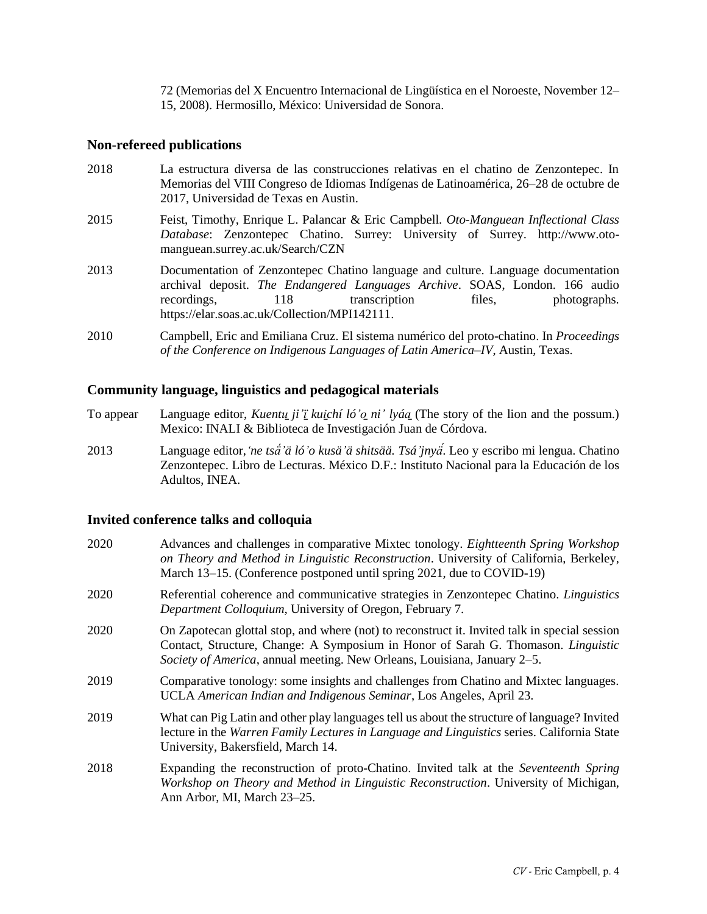72 (Memorias del X Encuentro Internacional de Lingüística en el Noroeste, November 12– 15, 2008). Hermosillo, México: Universidad de Sonora.

### **Non-refereed publications**

| 2018 | La estructura diversa de las construcciones relativas en el chatino de Zenzontepec. In<br>Memorias del VIII Congreso de Idiomas Indígenas de Latinoamérica, 26–28 de octubre de<br>2017, Universidad de Texas en Austin.                                                           |
|------|------------------------------------------------------------------------------------------------------------------------------------------------------------------------------------------------------------------------------------------------------------------------------------|
| 2015 | Feist, Timothy, Enrique L. Palancar & Eric Campbell. Oto-Manguean Inflectional Class<br>Database: Zenzontepec Chatino. Surrey: University of Surrey. http://www.oto-<br>manguean.surrey.ac.uk/Search/CZN                                                                           |
| 2013 | Documentation of Zenzontepec Chatino language and culture. Language documentation<br>archival deposit. The Endangered Languages Archive. SOAS, London. 166 audio<br>118<br>transcription<br>files,<br>photographs.<br>recordings,<br>https://elar.soas.ac.uk/Collection/MPI142111. |
| 2010 | Campbell, Eric and Emiliana Cruz. El sistema numérico del proto-chatino. In Proceedings<br>of the Conference on Indigenous Languages of Latin America–IV, Austin, Texas.                                                                                                           |

## **Community language, linguistics and pedagogical materials**

- To appear Language editor, *Kuentu\_ji'i kuichí ló'o\_ni' lyáa* (The story of the lion and the possum.) Mexico: INALI & Biblioteca de Investigación Juan de Córdova.
- 2013 Language editor,*'ne tsä́'ä ló'o kusä'ä shitsää. Tsá'jnyä́*[. Leo y escribo mi lengua. Chatino](http://www.cursosinea.conevyt.org.mx/index.php?option=com_k2&view=itemlist&layout=tag&tag=MIB%20educando&task=tag&Itemid=159)  [Zenzontepec.](http://www.cursosinea.conevyt.org.mx/index.php?option=com_k2&view=itemlist&layout=tag&tag=MIB%20educando&task=tag&Itemid=159) Libro de Lecturas. México D.F.: Instituto Nacional para la Educación de los Adultos, INEA.

## <span id="page-3-0"></span>**Invited conference talks and colloquia**

| 2020 | Advances and challenges in comparative Mixtec tonology. Eightteenth Spring Workshop<br>on Theory and Method in Linguistic Reconstruction. University of California, Berkeley,<br>March 13–15. (Conference postponed until spring 2021, due to COVID-19)        |
|------|----------------------------------------------------------------------------------------------------------------------------------------------------------------------------------------------------------------------------------------------------------------|
| 2020 | Referential coherence and communicative strategies in Zenzontepec Chatino. <i>Linguistics</i><br>Department Colloquium, University of Oregon, February 7.                                                                                                      |
| 2020 | On Zapotecan glottal stop, and where (not) to reconstruct it. Invited talk in special session<br>Contact, Structure, Change: A Symposium in Honor of Sarah G. Thomason. Linguistic<br>Society of America, annual meeting. New Orleans, Louisiana, January 2–5. |
| 2019 | Comparative tonology: some insights and challenges from Chatino and Mixtec languages.<br>UCLA American Indian and Indigenous Seminar, Los Angeles, April 23.                                                                                                   |
| 2019 | What can Pig Latin and other play languages tell us about the structure of language? Invited<br>lecture in the Warren Family Lectures in Language and Linguistics series. California State<br>University, Bakersfield, March 14.                               |
| 2018 | Expanding the reconstruction of proto-Chatino. Invited talk at the Seventeenth Spring<br>Workshop on Theory and Method in Linguistic Reconstruction. University of Michigan,<br>Ann Arbor, MI, March 23-25.                                                    |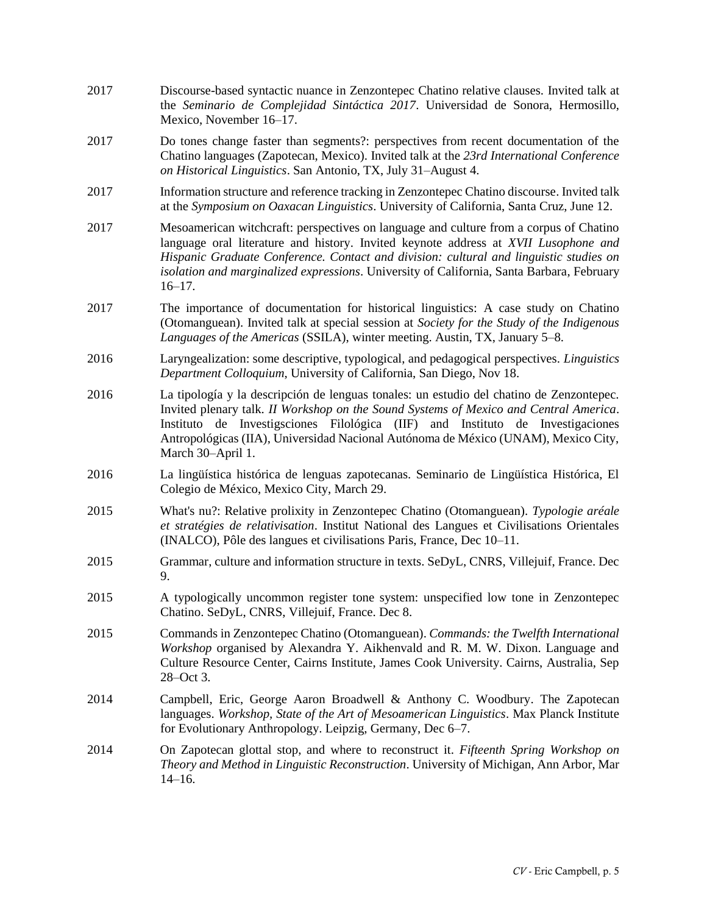2017 Discourse-based syntactic nuance in Zenzontepec Chatino relative clauses. Invited talk at the *Seminario de Complejidad Sintáctica 2017*. Universidad de Sonora, Hermosillo, Mexico, November 16–17. 2017 Do tones change faster than segments?: perspectives from recent documentation of the Chatino languages (Zapotecan, Mexico). Invited talk at the *23rd International Conference on Historical Linguistics*. San Antonio, TX, July 31–August 4. 2017 Information structure and reference tracking in Zenzontepec Chatino discourse. Invited talk at the *Symposium on Oaxacan Linguistics*. University of California, Santa Cruz, June 12. 2017 Mesoamerican witchcraft: perspectives on language and culture from a corpus of Chatino language oral literature and history. Invited keynote address at *XVII Lusophone and Hispanic Graduate Conference. Contact and division: cultural and linguistic studies on isolation and marginalized expressions*. University of California, Santa Barbara, February 16–17. 2017 The importance of documentation for historical linguistics: A case study on Chatino (Otomanguean). Invited talk at special session at *Society for the Study of the Indigenous Languages of the Americas* (SSILA), winter meeting. Austin, TX, January 5–8. 2016 Laryngealization: some descriptive, typological, and pedagogical perspectives. *Linguistics Department Colloquium*, University of California, San Diego, Nov 18. 2016 La tipología y la descripción de lenguas tonales: un estudio del chatino de Zenzontepec. Invited plenary talk. *II Workshop on the Sound Systems of Mexico and Central America*. Instituto de Investigsciones Filológica (IIF) and Instituto de Investigaciones Antropológicas (IIA), Universidad Nacional Autónoma de México (UNAM), Mexico City, March 30–April 1. 2016 La lingüística histórica de lenguas zapotecanas. Seminario de Lingüística Histórica, El Colegio de México, Mexico City, March 29. 2015 What's nu?: Relative prolixity in Zenzontepec Chatino (Otomanguean). *Typologie aréale et stratégies de relativisation*. Institut National des Langues et Civilisations Orientales (INALCO), Pôle des langues et civilisations Paris, France, Dec 10–11. 2015 Grammar, culture and information structure in texts. SeDyL, CNRS, Villejuif, France. Dec 9. 2015 A typologically uncommon register tone system: unspecified low tone in Zenzontepec Chatino. SeDyL, CNRS, Villejuif, France. Dec 8. 2015 Commands in Zenzontepec Chatino (Otomanguean). *Commands: the Twelfth International Workshop* organised by Alexandra Y. Aikhenvald and R. M. W. Dixon. Language and Culture Resource Center, Cairns Institute, James Cook University. Cairns, Australia, Sep 28–Oct 3. 2014 Campbell, Eric, George Aaron Broadwell & Anthony C. Woodbury. The Zapotecan languages. *Workshop, State of the Art of Mesoamerican Linguistics*. Max Planck Institute for Evolutionary Anthropology. Leipzig, Germany, Dec 6–7. 2014 On Zapotecan glottal stop, and where to reconstruct it. *Fifteenth Spring Workshop on Theory and Method in Linguistic Reconstruction*. University of Michigan, Ann Arbor, Mar 14–16.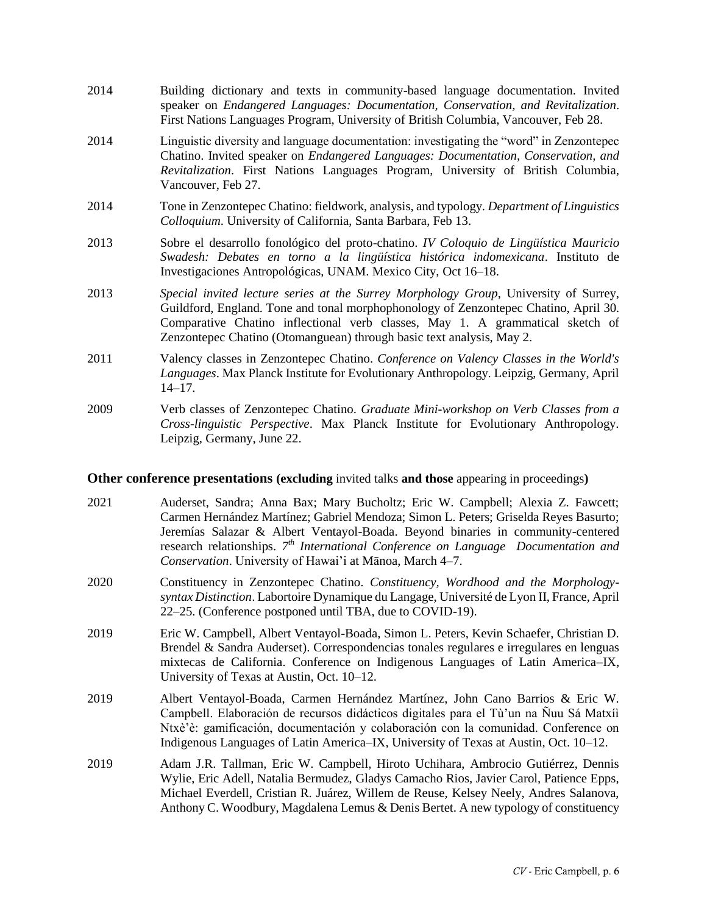- 2014 Building dictionary and texts in community-based language documentation. Invited speaker on *Endangered Languages: Documentation, Conservation, and Revitalization*. First Nations Languages Program, University of British Columbia, Vancouver, Feb 28.
- 2014 Linguistic diversity and language documentation: investigating the "word" in Zenzontepec Chatino. Invited speaker on *Endangered Languages: Documentation, Conservation, and Revitalization*. First Nations Languages Program, University of British Columbia, Vancouver, Feb 27.
- 2014 Tone in Zenzontepec Chatino: fieldwork, analysis, and typology. *Department of Linguistics Colloquium*. University of California, Santa Barbara, Feb 13.
- 2013 Sobre el desarrollo fonológico del proto-chatino. *IV Coloquio de Lingüística Mauricio Swadesh: Debates en torno a la lingüística histórica indomexicana*. Instituto de Investigaciones Antropológicas, UNAM. Mexico City, Oct 16–18.
- 2013 *Special invited lecture series at the Surrey Morphology Group*, University of Surrey, Guildford, England. Tone and tonal morphophonology of Zenzontepec Chatino, April 30. Comparative Chatino inflectional verb classes, May 1. A grammatical sketch of Zenzontepec Chatino (Otomanguean) through basic text analysis, May 2.
- 2011 Valency classes in Zenzontepec Chatino. *Conference on Valency Classes in the World's Languages*. Max Planck Institute for Evolutionary Anthropology. Leipzig, Germany, April 14–17.
- 2009 Verb classes of Zenzontepec Chatino. *Graduate Mini-workshop on Verb Classes from a Cross-linguistic Perspective*. Max Planck Institute for Evolutionary Anthropology. Leipzig, Germany, June 22.

## **Other conference presentations (excluding** [invited talks](#page-3-0) **and those** [appearing in proceedings](#page-2-0)**)**

- 2021 Auderset, Sandra; Anna Bax; Mary Bucholtz; Eric W. Campbell; Alexia Z. Fawcett; Carmen Hernández Martínez; Gabriel Mendoza; Simon L. Peters; Griselda Reyes Basurto; Jeremías Salazar & Albert Ventayol-Boada. Beyond binaries in community-centered research relationships. *7 th International Conference on Language Documentation and Conservation*. University of Hawai'i at Mānoa, March 4‒7.
- 2020 Constituency in Zenzontepec Chatino. *Constituency, Wordhood and the Morphologysyntax Distinction*. Labortoire Dynamique du Langage, Université de Lyon II, France, April 22‒25. (Conference postponed until TBA, due to COVID-19).
- 2019 Eric W. Campbell, Albert Ventayol-Boada, Simon L. Peters, Kevin Schaefer, Christian D. Brendel & Sandra Auderset). Correspondencias tonales regulares e irregulares en lenguas mixtecas de California. Conference on Indigenous Languages of Latin America–IX, University of Texas at Austin, Oct. 10-12.
- 2019 Albert Ventayol-Boada, Carmen Hernández Martínez, John Cano Barrios & Eric W. Campbell. Elaboración de recursos didácticos digitales para el Tù'un na Ñuu Sá Matxíì Ntxè'è: gamificación, documentación y colaboración con la comunidad. Conference on Indigenous Languages of Latin America–IX, University of Texas at Austin, Oct. 10–12.
- 2019 Adam J.R. Tallman, Eric W. Campbell, Hiroto Uchihara, Ambrocio Gutiérrez, Dennis Wylie, Eric Adell, Natalia Bermudez, Gladys Camacho Rios, Javier Carol, Patience Epps, Michael Everdell, Cristian R. Juárez, Willem de Reuse, Kelsey Neely, Andres Salanova, Anthony C. Woodbury, Magdalena Lemus & Denis Bertet. A new typology of constituency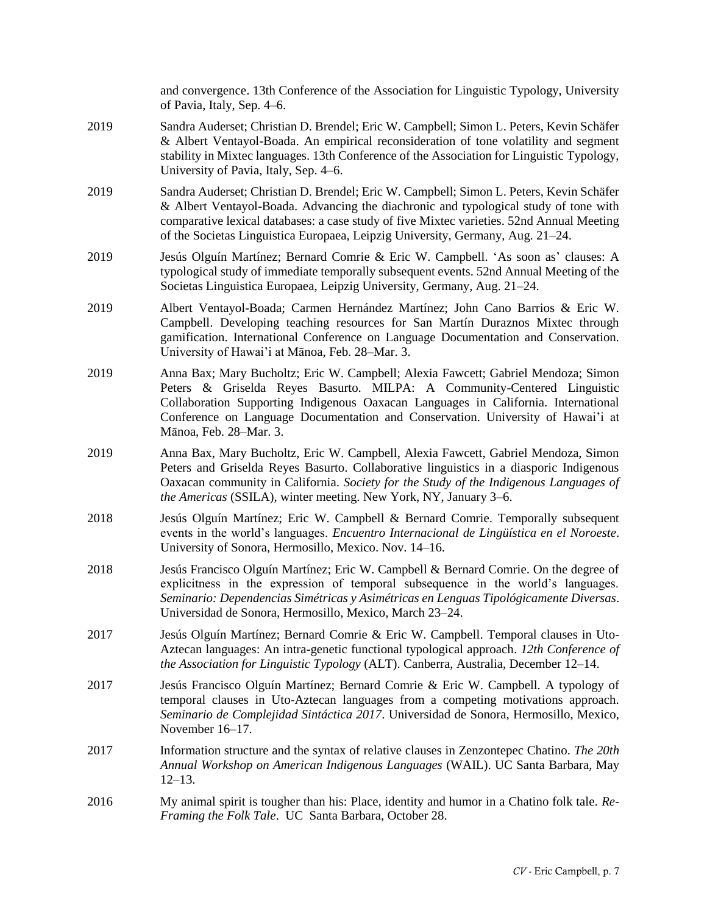and convergence. 13th Conference of the Association for Linguistic Typology, University of Pavia, Italy, Sep. 4‒6.

- 2019 Sandra Auderset; Christian D. Brendel; Eric W. Campbell; Simon L. Peters, Kevin Schäfer & Albert Ventayol-Boada. An empirical reconsideration of tone volatility and segment stability in Mixtec languages. 13th Conference of the Association for Linguistic Typology, University of Pavia, Italy, Sep. 4‒6.
- 2019 Sandra Auderset; Christian D. Brendel; Eric W. Campbell; Simon L. Peters, Kevin Schäfer & Albert Ventayol-Boada. Advancing the diachronic and typological study of tone with comparative lexical databases: a case study of five Mixtec varieties. 52nd Annual Meeting of the Societas Linguistica Europaea, Leipzig University, Germany, Aug. 21‒24.
- 2019 Jesús Olguín Martínez; Bernard Comrie & Eric W. Campbell. ʻAs soon as' clauses: A typological study of immediate temporally subsequent events. 52nd Annual Meeting of the Societas Linguistica Europaea, Leipzig University, Germany, Aug. 21–24.
- 2019 Albert Ventayol-Boada; Carmen Hernández Martínez; John Cano Barrios & Eric W. Campbell. Developing teaching resources for San Martín Duraznos Mixtec through gamification. International Conference on Language Documentation and Conservation. University of Hawai'i at Mānoa, Feb. 28–Mar. 3.
- 2019 Anna Bax; Mary Bucholtz; Eric W. Campbell; Alexia Fawcett; Gabriel Mendoza; Simon Peters & Griselda Reyes Basurto. MILPA: A Community-Centered Linguistic Collaboration Supporting Indigenous Oaxacan Languages in California. International Conference on Language Documentation and Conservation. University of Hawai'i at Mānoa, Feb. 28–Mar. 3.
- 2019 Anna Bax, Mary Bucholtz, Eric W. Campbell, Alexia Fawcett, Gabriel Mendoza, Simon Peters and Griselda Reyes Basurto. Collaborative linguistics in a diasporic Indigenous Oaxacan community in California. *Society for the Study of the Indigenous Languages of the Americas* (SSILA), winter meeting. New York, NY, January 3–6.
- 2018 Jesús Olguín Martínez; Eric W. Campbell & Bernard Comrie. Temporally subsequent events in the world's languages. *Encuentro Internacional de Lingüística en el Noroeste*. University of Sonora, Hermosillo, Mexico. Nov. 14‒16.
- 2018 Jesús Francisco Olguín Martínez; Eric W. Campbell & Bernard Comrie. On the degree of explicitness in the expression of temporal subsequence in the world's languages. *Seminario: Dependencias Simétricas y Asimétricas en Lenguas Tipológicamente Diversas*. Universidad de Sonora, Hermosillo, Mexico, March 23–24.
- 2017 Jesús Olguín Martínez; Bernard Comrie & Eric W. Campbell. Temporal clauses in Uto-Aztecan languages: An intra-genetic functional typological approach. *12th Conference of the Association for Linguistic Typology* (ALT). Canberra, Australia, December 12–14.
- 2017 Jesús Francisco Olguín Martínez; Bernard Comrie & Eric W. Campbell. A typology of temporal clauses in Uto-Aztecan languages from a competing motivations approach. *Seminario de Complejidad Sintáctica 2017*. Universidad de Sonora, Hermosillo, Mexico, November 16–17.
- 2017 Information structure and the syntax of relative clauses in Zenzontepec Chatino. *The 20th Annual Workshop on American Indigenous Languages* (WAIL). UC Santa Barbara, May 12–13.
- 2016 My animal spirit is tougher than his: Place, identity and humor in a Chatino folk tale. *Re-Framing the Folk Tale*. UC Santa Barbara, October 28.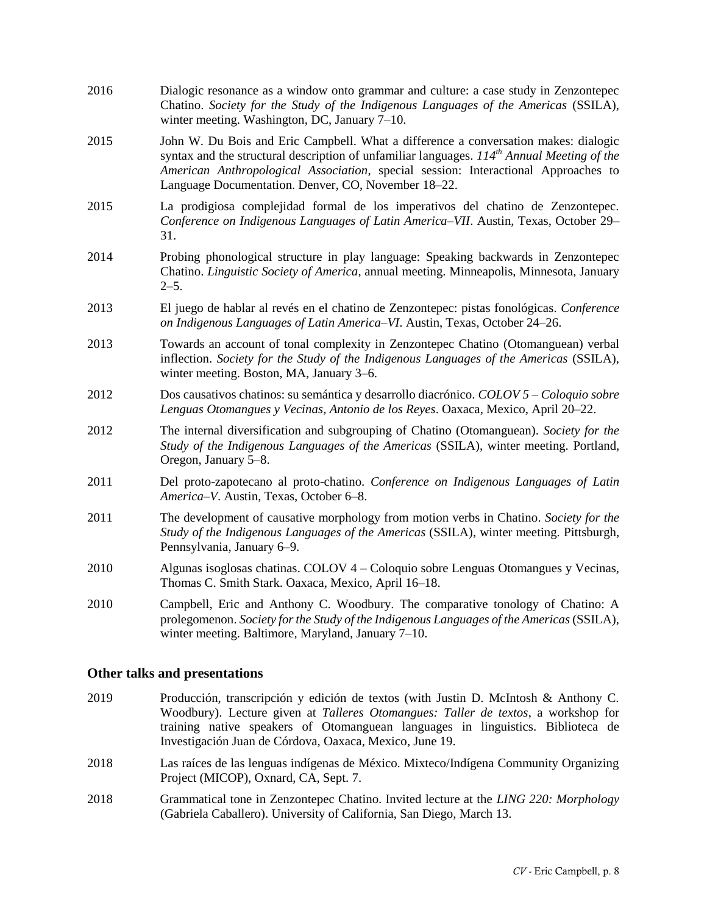| 2016 | Dialogic resonance as a window onto grammar and culture: a case study in Zenzontepec<br>Chatino. Society for the Study of the Indigenous Languages of the Americas (SSILA),<br>winter meeting. Washington, DC, January $7-10$ .                                                                                                  |
|------|----------------------------------------------------------------------------------------------------------------------------------------------------------------------------------------------------------------------------------------------------------------------------------------------------------------------------------|
| 2015 | John W. Du Bois and Eric Campbell. What a difference a conversation makes: dialogic<br>syntax and the structural description of unfamiliar languages. $114th$ Annual Meeting of the<br>American Anthropological Association, special session: Interactional Approaches to<br>Language Documentation. Denver, CO, November 18–22. |
| 2015 | La prodigiosa complejidad formal de los imperativos del chatino de Zenzontepec.<br>Conference on Indigenous Languages of Latin America–VII. Austin, Texas, October 29–<br>31.                                                                                                                                                    |
| 2014 | Probing phonological structure in play language: Speaking backwards in Zenzontepec<br>Chatino. Linguistic Society of America, annual meeting. Minneapolis, Minnesota, January<br>$2 - 5$ .                                                                                                                                       |
| 2013 | El juego de hablar al revés en el chatino de Zenzontepec: pistas fonológicas. Conference<br>on Indigenous Languages of Latin America-VI. Austin, Texas, October 24-26.                                                                                                                                                           |
| 2013 | Towards an account of tonal complexity in Zenzontepec Chatino (Otomanguean) verbal<br>inflection. Society for the Study of the Indigenous Languages of the Americas (SSILA),<br>winter meeting. Boston, MA, January 3–6.                                                                                                         |
| 2012 | Dos causativos chatinos: su semántica y desarrollo diacrónico. COLOV 5 – Coloquio sobre<br>Lenguas Otomangues y Vecinas, Antonio de los Reyes. Oaxaca, Mexico, April 20–22.                                                                                                                                                      |
| 2012 | The internal diversification and subgrouping of Chatino (Otomanguean). Society for the<br>Study of the Indigenous Languages of the Americas (SSILA), winter meeting. Portland,<br>Oregon, January 5–8.                                                                                                                           |
| 2011 | Del proto-zapotecano al proto-chatino. Conference on Indigenous Languages of Latin<br>America-V. Austin, Texas, October 6-8.                                                                                                                                                                                                     |
| 2011 | The development of causative morphology from motion verbs in Chatino. Society for the<br>Study of the Indigenous Languages of the Americas (SSILA), winter meeting. Pittsburgh,<br>Pennsylvania, January 6-9.                                                                                                                    |
| 2010 | Algunas isoglosas chatinas. COLOV $4$ – Coloquio sobre Lenguas Otomangues y Vecinas,<br>Thomas C. Smith Stark. Oaxaca, Mexico, April 16-18.                                                                                                                                                                                      |
| 2010 | Campbell, Eric and Anthony C. Woodbury. The comparative tonology of Chatino: A<br>prolegomenon. Society for the Study of the Indigenous Languages of the Americas (SSILA),<br>winter meeting. Baltimore, Maryland, January 7-10.                                                                                                 |

## **Other talks and presentations**

- 2019 Producción, transcripción y edición de textos (with Justin D. McIntosh & Anthony C. Woodbury). Lecture given at *Talleres Otomangues: Taller de textos*, a workshop for training native speakers of Otomanguean languages in linguistics. Biblioteca de Investigación Juan de Córdova, Oaxaca, Mexico, June 19.
- 2018 Las raíces de las lenguas indígenas de México. Mixteco/Indígena Community Organizing Project (MICOP), Oxnard, CA, Sept. 7.
- 2018 Grammatical tone in Zenzontepec Chatino. Invited lecture at the *LING 220: Morphology*  (Gabriela Caballero). University of California, San Diego, March 13.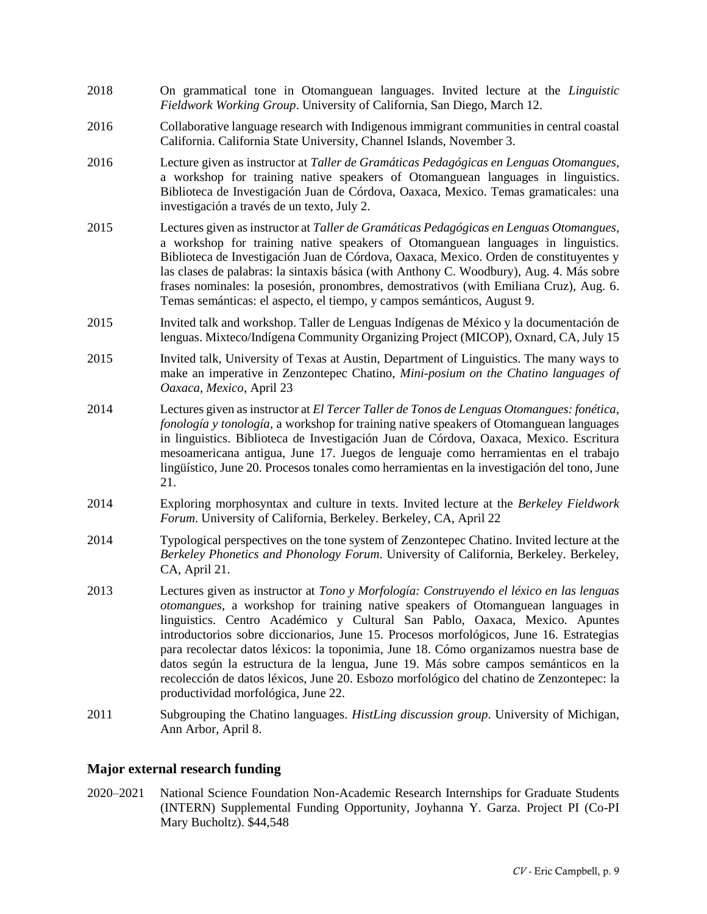- 2018 On grammatical tone in Otomanguean languages. Invited lecture at the *Linguistic Fieldwork Working Group*. University of California, San Diego, March 12.
- 2016 Collaborative language research with Indigenous immigrant communities in central coastal California. California State University, Channel Islands, November 3.
- 2016 Lecture given as instructor at *Taller de Gramáticas Pedagógicas en Lenguas Otomangues*, a workshop for training native speakers of Otomanguean languages in linguistics. Biblioteca de Investigación Juan de Córdova, Oaxaca, Mexico. Temas gramaticales: una investigación a través de un texto, July 2.
- 2015 Lectures given as instructor at *Taller de Gramáticas Pedagógicas en Lenguas Otomangues*, a workshop for training native speakers of Otomanguean languages in linguistics. Biblioteca de Investigación Juan de Córdova, Oaxaca, Mexico. Orden de constituyentes y las clases de palabras: la sintaxis básica (with Anthony C. Woodbury), Aug. 4. Más sobre frases nominales: la posesión, pronombres, demostrativos (with Emiliana Cruz), Aug. 6. Temas semánticas: el aspecto, el tiempo, y campos semánticos, August 9.
- 2015 Invited talk and workshop. Taller de Lenguas Indígenas de México y la documentación de lenguas. Mixteco/Indígena Community Organizing Project (MICOP), Oxnard, CA, July 15
- 2015 Invited talk, University of Texas at Austin, Department of Linguistics. The many ways to make an imperative in Zenzontepec Chatino, *Mini-posium on the Chatino languages of Oaxaca, Mexico*, April 23
- 2014 Lectures given as instructor at *El Tercer Taller de Tonos de Lenguas Otomangues: fonética, fonología y tonología*, a workshop for training native speakers of Otomanguean languages in linguistics. Biblioteca de Investigación Juan de Córdova, Oaxaca, Mexico. Escritura mesoamericana antigua, June 17. Juegos de lenguaje como herramientas en el trabajo lingüístico, June 20. Procesos tonales como herramientas en la investigación del tono, June 21.
- 2014 Exploring morphosyntax and culture in texts. Invited lecture at the *Berkeley Fieldwork Forum*. University of California, Berkeley. Berkeley, CA, April 22
- 2014 Typological perspectives on the tone system of Zenzontepec Chatino. Invited lecture at the *Berkeley Phonetics and Phonology Forum*. University of California, Berkeley. Berkeley, CA, April 21.
- 2013 Lectures given as instructor at *Tono y Morfología: Construyendo el léxico en las lenguas otomangues*, a workshop for training native speakers of Otomanguean languages in linguistics. Centro Académico y Cultural San Pablo, Oaxaca, Mexico. Apuntes introductorios sobre diccionarios, June 15. Procesos morfológicos, June 16. Estrategias para recolectar datos léxicos: la toponimia, June 18. Cómo organizamos nuestra base de datos según la estructura de la lengua, June 19. Más sobre campos semánticos en la recolección de datos léxicos, June 20. Esbozo morfológico del chatino de Zenzontepec: la productividad morfológica, June 22.
- 2011 Subgrouping the Chatino languages. *HistLing discussion group*. University of Michigan, Ann Arbor, April 8.

## **Major external research funding**

2020–2021 National Science Foundation Non-Academic Research Internships for Graduate Students (INTERN) Supplemental Funding Opportunity, Joyhanna Y. Garza. Project PI (Co-PI Mary Bucholtz). \$44,548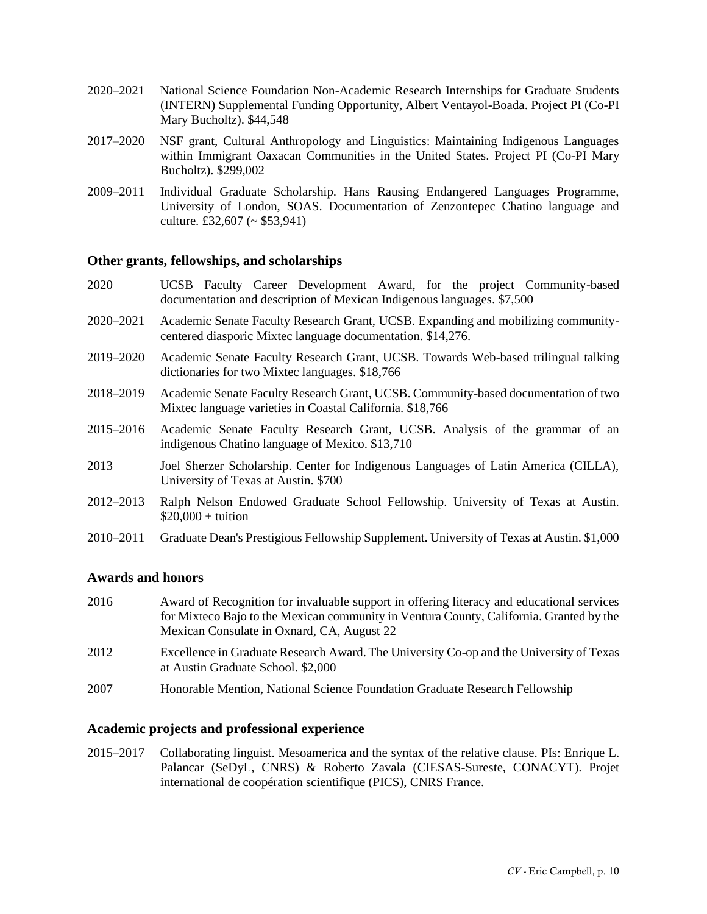- 2020–2021 National Science Foundation Non-Academic Research Internships for Graduate Students (INTERN) Supplemental Funding Opportunity, Albert Ventayol-Boada. Project PI (Co-PI Mary Bucholtz). \$44,548
- 2017–2020 NSF grant, Cultural Anthropology and Linguistics: Maintaining Indigenous Languages within Immigrant Oaxacan Communities in the United States. Project PI (Co-PI Mary Bucholtz). \$299,002
- 2009–2011 Individual Graduate Scholarship. Hans Rausing Endangered Languages Programme, University of London, SOAS. Documentation of Zenzontepec Chatino language and culture. £32,607 ( $\sim$  \$53,941)

### **Other grants, fellowships, and scholarships**

- 2020 UCSB Faculty Career Development Award, for the project Community-based documentation and description of Mexican Indigenous languages. \$7,500
- 2020–2021 Academic Senate Faculty Research Grant, UCSB. Expanding and mobilizing communitycentered diasporic Mixtec language documentation. \$14,276.
- 2019–2020 Academic Senate Faculty Research Grant, UCSB. Towards Web-based trilingual talking dictionaries for two Mixtec languages. \$18,766
- 2018–2019 Academic Senate Faculty Research Grant, UCSB. Community-based documentation of two Mixtec language varieties in Coastal California. \$18,766
- 2015–2016 Academic Senate Faculty Research Grant, UCSB. Analysis of the grammar of an indigenous Chatino language of Mexico. \$13,710
- 2013 Joel Sherzer Scholarship. Center for Indigenous Languages of Latin America (CILLA), University of Texas at Austin. \$700
- 2012–2013 Ralph Nelson Endowed Graduate School Fellowship. University of Texas at Austin.  $$20,000 +$  tuition
- 2010–2011 Graduate Dean's Prestigious Fellowship Supplement. University of Texas at Austin. \$1,000

#### **Awards and honors**

- 2016 Award of Recognition for invaluable support in offering literacy and educational services for Mixteco Bajo to the Mexican community in Ventura County, California. Granted by the Mexican Consulate in Oxnard, CA, August 22 2012 Excellence in Graduate Research Award. The University Co-op and the University of Texas at Austin Graduate School. \$2,000
- 2007 Honorable Mention, National Science Foundation Graduate Research Fellowship

#### **Academic projects and professional experience**

2015–2017 Collaborating linguist. Mesoamerica and the syntax of the relative clause. PIs: Enrique L. Palancar (SeDyL, CNRS) & Roberto Zavala (CIESAS-Sureste, CONACYT). Projet international de coopération scientifique (PICS), CNRS France.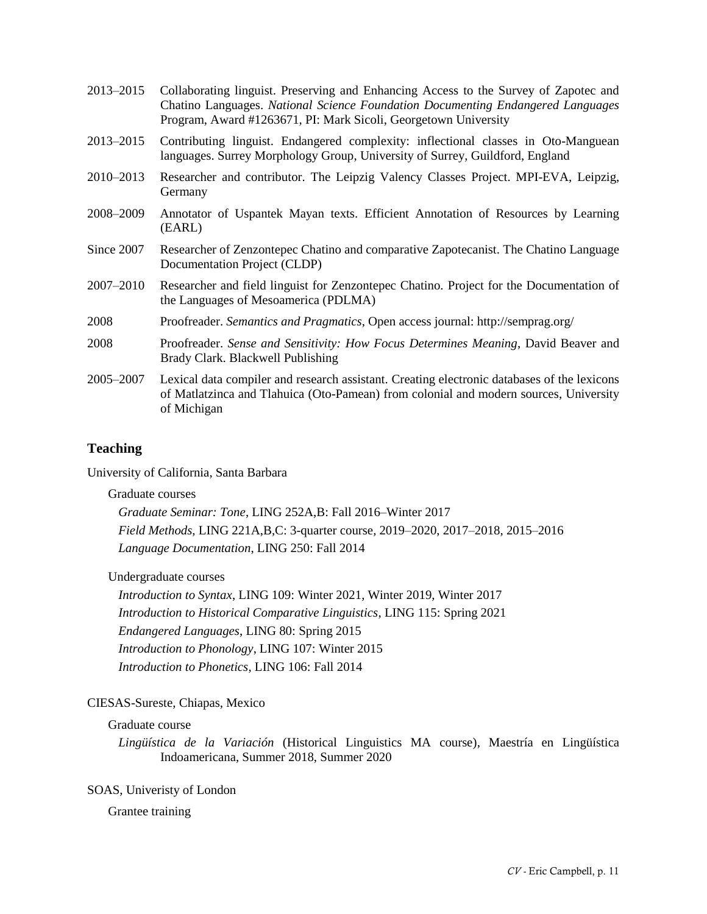| Collaborating linguist. Preserving and Enhancing Access to the Survey of Zapotec and<br>Chatino Languages. National Science Foundation Documenting Endangered Languages<br>Program, Award #1263671, PI: Mark Sicoli, Georgetown University |
|--------------------------------------------------------------------------------------------------------------------------------------------------------------------------------------------------------------------------------------------|
| Contributing linguist. Endangered complexity: inflectional classes in Oto-Manguean<br>languages. Surrey Morphology Group, University of Surrey, Guildford, England                                                                         |
| Researcher and contributor. The Leipzig Valency Classes Project. MPI-EVA, Leipzig,<br>Germany                                                                                                                                              |
| Annotator of Uspantek Mayan texts. Efficient Annotation of Resources by Learning<br>(EARL)                                                                                                                                                 |
| Researcher of Zenzontepec Chatino and comparative Zapotecanist. The Chatino Language<br>Documentation Project (CLDP)                                                                                                                       |
| Researcher and field linguist for Zenzontepec Chatino. Project for the Documentation of<br>the Languages of Mesoamerica (PDLMA)                                                                                                            |
| Proofreader. Semantics and Pragmatics, Open access journal: http://semprag.org/                                                                                                                                                            |
| Proofreader. Sense and Sensitivity: How Focus Determines Meaning, David Beaver and<br>Brady Clark. Blackwell Publishing                                                                                                                    |
| Lexical data compiler and research assistant. Creating electronic databases of the lexicons<br>of Matlatzinca and Tlahuica (Oto-Pamean) from colonial and modern sources, University<br>of Michigan                                        |
|                                                                                                                                                                                                                                            |

## **Teaching**

University of California, Santa Barbara

## Graduate courses

*Graduate Seminar: Tone*, LING 252A,B: Fall 2016‒Winter 2017 *Field Methods*, LING 221A,B,C: 3-quarter course, 2019‒2020, 2017‒2018, 2015‒2016 *Language Documentation*, LING 250: Fall 2014

## Undergraduate courses

*Introduction to Syntax*, LING 109: Winter 2021, Winter 2019, Winter 2017 *Introduction to Historical Comparative Linguistics*, LING 115: Spring 2021 *Endangered Languages*, LING 80: Spring 2015 *Introduction to Phonology*, LING 107: Winter 2015 *Introduction to Phonetics*, LING 106: Fall 2014

## CIESAS-Sureste, Chiapas, Mexico

## Graduate course

*Lingüística de la Variación* (Historical Linguistics MA course), Maestría en Lingüística Indoamericana, Summer 2018, Summer 2020

## SOAS, Univeristy of London

## Grantee training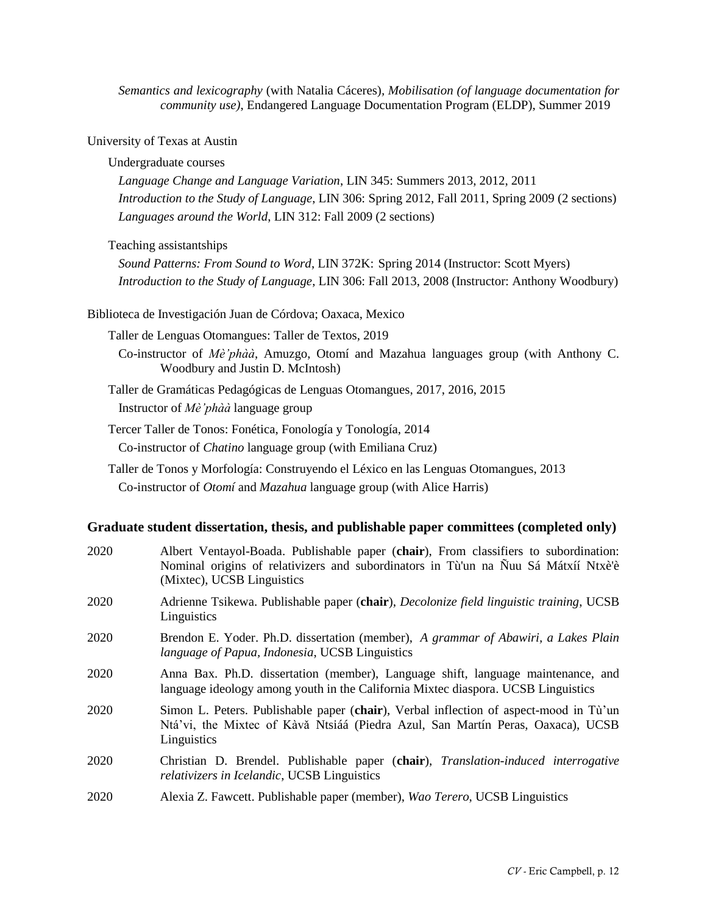*Semantics and lexicography* (with Natalia Cáceres)*, Mobilisation (of language documentation for community use)*, Endangered Language Documentation Program (ELDP), Summer 2019

University of Texas at Austin

#### Undergraduate courses

*Language Change and Language Variation*, LIN 345: Summers 2013, 2012, 2011 *Introduction to the Study of Language*, LIN 306: Spring 2012, Fall 2011, Spring 2009 (2 sections) *Languages around the World*, LIN 312: Fall 2009 (2 sections)

Teaching assistantships

*Sound Patterns: From Sound to Word*, LIN 372K: Spring 2014 (Instructor: Scott Myers) *Introduction to the Study of Language*, LIN 306: Fall 2013, 2008 (Instructor: Anthony Woodbury)

Biblioteca de Investigación Juan de Córdova; Oaxaca, Mexico

Taller de Lenguas Otomangues: Taller de Textos, 2019

Co-instructor of *Mè'phàà*, Amuzgo, Otomí and Mazahua languages group (with Anthony C. Woodbury and Justin D. McIntosh)

Taller de Gramáticas Pedagógicas de Lenguas Otomangues, 2017, 2016, 2015 Instructor of *Mè'phàà* language group

Tercer Taller de Tonos: Fonética, Fonología y Tonología, 2014 Co-instructor of *Chatino* language group (with Emiliana Cruz)

Taller de Tonos y Morfología: Construyendo el Léxico en las Lenguas Otomangues, 2013 Co-instructor of *Otomí* and *Mazahua* language group (with Alice Harris)

### **Graduate student dissertation, thesis, and publishable paper committees (completed only)**

| 2020 | Albert Ventayol-Boada. Publishable paper (chair), From classifiers to subordination:<br>Nominal origins of relativizers and subordinators in Tù'un na Ñuu Sá Mátxíí Ntxè'è<br>(Mixtec), UCSB Linguistics |
|------|----------------------------------------------------------------------------------------------------------------------------------------------------------------------------------------------------------|
| 2020 | Adrienne Tsikewa. Publishable paper (chair), Decolonize field linguistic training, UCSB<br>Linguistics                                                                                                   |
| 2020 | Brendon E. Yoder. Ph.D. dissertation (member), A grammar of Abawiri, a Lakes Plain<br>language of Papua, Indonesia, UCSB Linguistics                                                                     |
| 2020 | Anna Bax. Ph.D. dissertation (member), Language shift, language maintenance, and<br>language ideology among youth in the California Mixtec diaspora. UCSB Linguistics                                    |
| 2020 | Simon L. Peters. Publishable paper (chair), Verbal inflection of aspect-mood in Tu'un<br>Ntá'vi, the Mixtec of Kàvă Ntsiáá (Piedra Azul, San Martín Peras, Oaxaca), UCSB<br>Linguistics                  |
| 2020 | Christian D. Brendel. Publishable paper (chair), Translation-induced interrogative<br>relativizers in Icelandic, UCSB Linguistics                                                                        |
| 2020 | Alexia Z. Fawcett. Publishable paper (member), Wao Terero, UCSB Linguistics                                                                                                                              |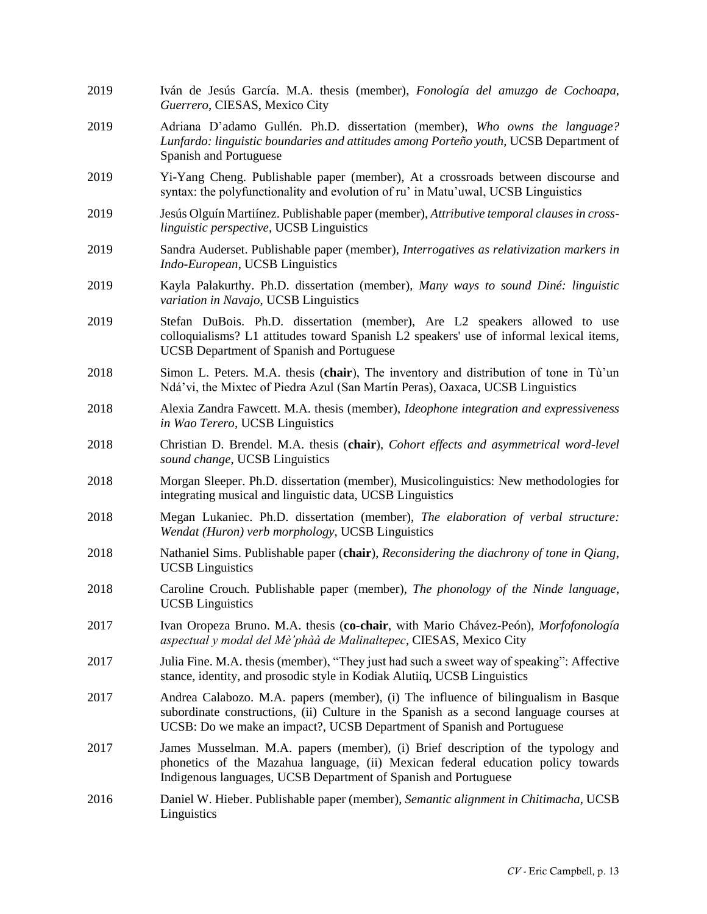2019 Iván de Jesús García. M.A. thesis (member), *Fonología del amuzgo de Cochoapa, Guerrero*, CIESAS, Mexico City 2019 Adriana D'adamo Gullén. Ph.D. dissertation (member), *Who owns the language? Lunfardo: linguistic boundaries and attitudes among Porteño youth*, UCSB Department of Spanish and Portuguese 2019 Yi-Yang Cheng. Publishable paper (member), At a crossroads between discourse and syntax: the polyfunctionality and evolution of ru' in Matu'uwal, UCSB Linguistics 2019 Jesús Olguín Martiínez. Publishable paper (member), *Attributive temporal clauses in crosslinguistic perspective*, UCSB Linguistics 2019 Sandra Auderset. Publishable paper (member), *Interrogatives as relativization markers in Indo-European*, UCSB Linguistics 2019 Kayla Palakurthy. Ph.D. dissertation (member), *Many ways to sound Diné: linguistic variation in Navajo*, UCSB Linguistics 2019 Stefan DuBois. Ph.D. dissertation (member), Are L2 speakers allowed to use colloquialisms? L1 attitudes toward Spanish L2 speakers' use of informal lexical items, UCSB Department of Spanish and Portuguese 2018 Simon L. Peters. M.A. thesis (**chair**), The inventory and distribution of tone in Tù'un Ndá'vi, the Mixtec of Piedra Azul (San Martín Peras), Oaxaca, UCSB Linguistics 2018 Alexia Zandra Fawcett. M.A. thesis (member), *Ideophone integration and expressiveness in Wao Terero*, UCSB Linguistics 2018 Christian D. Brendel. M.A. thesis (**chair**), *Cohort effects and asymmetrical word-level sound change*, UCSB Linguistics 2018 Morgan Sleeper. Ph.D. dissertation (member), Musicolinguistics: New methodologies for integrating musical and linguistic data, UCSB Linguistics 2018 Megan Lukaniec. Ph.D. dissertation (member), *The elaboration of verbal structure: Wendat (Huron) verb morphology*, UCSB Linguistics 2018 Nathaniel Sims. Publishable paper (**chair**), *Reconsidering the diachrony of tone in Qiang*, UCSB Linguistics 2018 Caroline Crouch. Publishable paper (member), *The phonology of the Ninde language*, UCSB Linguistics 2017 Ivan Oropeza Bruno. M.A. thesis (**co-chair**, with Mario Chávez-Peón), *Morfofonología aspectual y modal del Mè'phàà de Malinaltepec*, CIESAS, Mexico City 2017 Julia Fine. M.A. thesis (member), "They just had such a sweet way of speaking": Affective stance, identity, and prosodic style in Kodiak Alutiiq, UCSB Linguistics 2017 Andrea Calabozo. M.A. papers (member), (i) The influence of bilingualism in Basque subordinate constructions, (ii) Culture in the Spanish as a second language courses at UCSB: Do we make an impact?, UCSB Department of Spanish and Portuguese 2017 James Musselman. M.A. papers (member), (i) Brief description of the typology and phonetics of the Mazahua language, (ii) Mexican federal education policy towards Indigenous languages, UCSB Department of Spanish and Portuguese 2016 Daniel W. Hieber. Publishable paper (member), *Semantic alignment in Chitimacha*, UCSB **Linguistics**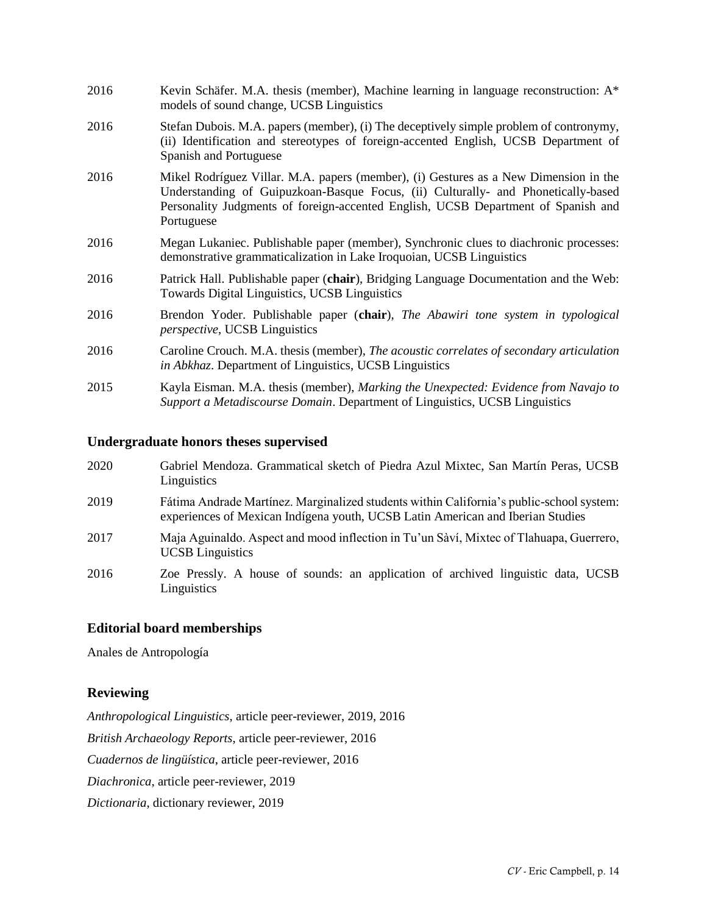| 2016 | Kevin Schäfer. M.A. thesis (member), Machine learning in language reconstruction: $A^*$<br>models of sound change, UCSB Linguistics                                                                                                                                          |
|------|------------------------------------------------------------------------------------------------------------------------------------------------------------------------------------------------------------------------------------------------------------------------------|
| 2016 | Stefan Dubois. M.A. papers (member), (i) The deceptively simple problem of contronymy,<br>(ii) Identification and stereotypes of foreign-accented English, UCSB Department of<br>Spanish and Portuguese                                                                      |
| 2016 | Mikel Rodríguez Villar. M.A. papers (member), (i) Gestures as a New Dimension in the<br>Understanding of Guipuzkoan-Basque Focus, (ii) Culturally- and Phonetically-based<br>Personality Judgments of foreign-accented English, UCSB Department of Spanish and<br>Portuguese |
| 2016 | Megan Lukaniec. Publishable paper (member), Synchronic clues to diachronic processes:<br>demonstrative grammaticalization in Lake Iroquoian, UCSB Linguistics                                                                                                                |
| 2016 | Patrick Hall. Publishable paper (chair), Bridging Language Documentation and the Web:<br>Towards Digital Linguistics, UCSB Linguistics                                                                                                                                       |
| 2016 | Brendon Yoder. Publishable paper (chair), The Abawiri tone system in typological<br><i>perspective</i> , UCSB Linguistics                                                                                                                                                    |
| 2016 | Caroline Crouch. M.A. thesis (member), The acoustic correlates of secondary articulation<br><i>in Abkhaz.</i> Department of Linguistics, UCSB Linguistics                                                                                                                    |
| 2015 | Kayla Eisman. M.A. thesis (member), Marking the Unexpected: Evidence from Navajo to<br>Support a Metadiscourse Domain. Department of Linguistics, UCSB Linguistics                                                                                                           |

## **Undergraduate honors theses supervised**

| 2020 | Gabriel Mendoza. Grammatical sketch of Piedra Azul Mixtec, San Martín Peras, UCSB<br>Linguistics                                                                           |
|------|----------------------------------------------------------------------------------------------------------------------------------------------------------------------------|
| 2019 | Fátima Andrade Martínez. Marginalized students within California's public-school system:<br>experiences of Mexican Indígena youth, UCSB Latin American and Iberian Studies |
| 2017 | Maja Aguinaldo. Aspect and mood inflection in Tu'un Sàví, Mixtec of Tlahuapa, Guerrero,<br><b>UCSB</b> Linguistics                                                         |
| 2016 | Zoe Pressly. A house of sounds: an application of archived linguistic data, UCSB<br>Linguistics                                                                            |

## **Editorial board memberships**

Anales de Antropología

## **Reviewing**

*Anthropological Linguistics*, article peer-reviewer, 2019, 2016 *British Archaeology Reports*, article peer-reviewer, 2016 *Cuadernos de lingüística*, article peer-reviewer, 2016 *Diachronica*, article peer-reviewer, 2019 *Dictionaria*, dictionary reviewer, 2019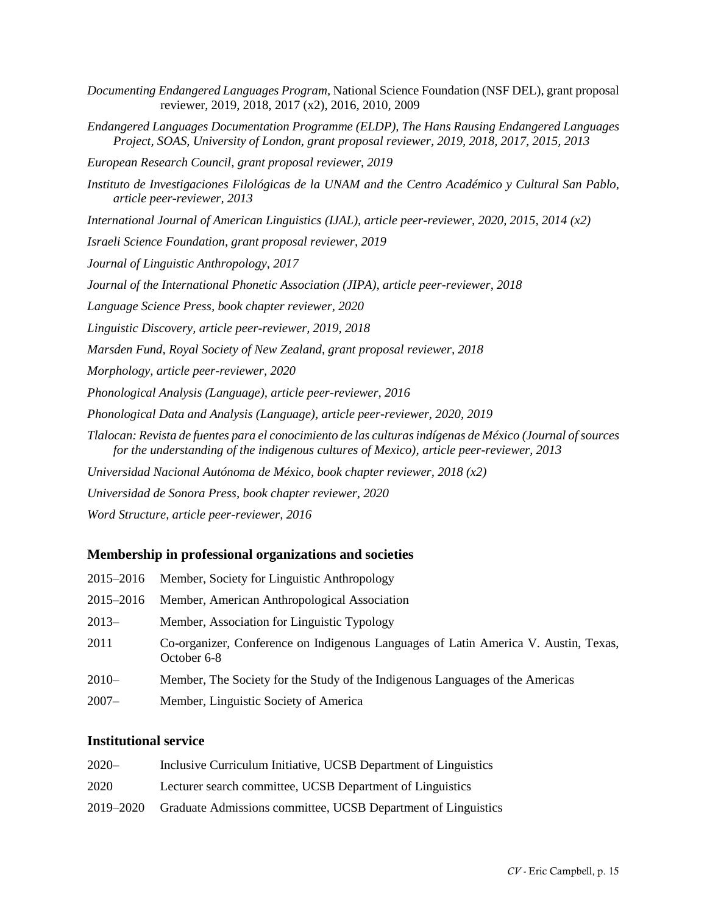|                                                   | <i>Documenting Endangered Languages Program, National Science Foundation (NSF DEL), grant proposal</i> |
|---------------------------------------------------|--------------------------------------------------------------------------------------------------------|
| reviewer, 2019, 2018, 2017 (x2), 2016, 2010, 2009 |                                                                                                        |

- *Endangered Languages Documentation Programme (ELDP), The Hans Rausing Endangered Languages Project, SOAS, University of London, grant proposal reviewer, 2019, 2018, 2017, 2015, 2013*
- *European Research Council, grant proposal reviewer, 2019*
- *Instituto de Investigaciones Filológicas de la UNAM and the Centro Académico y Cultural San Pablo, article peer-reviewer, 2013*
- *International Journal of American Linguistics (IJAL), article peer-reviewer, 2020, 2015, 2014 (x2)*
- *Israeli Science Foundation, grant proposal reviewer, 2019*
- *Journal of Linguistic Anthropology, 2017*
- *Journal of the International Phonetic Association (JIPA), article peer-reviewer, 2018*
- *Language Science Press, book chapter reviewer, 2020*
- *Linguistic Discovery, article peer-reviewer, 2019, 2018*
- *Marsden Fund, Royal Society of New Zealand, grant proposal reviewer, 2018*
- *Morphology, article peer-reviewer, 2020*
- *Phonological Analysis (Language), article peer-reviewer, 2016*
- *Phonological Data and Analysis (Language), article peer-reviewer, 2020, 2019*
- *Tlalocan: Revista de fuentes para el conocimiento de las culturas indígenas de México (Journal of sources for the understanding of the indigenous cultures of Mexico), article peer-reviewer, 2013*
- *Universidad Nacional Autónoma de México, book chapter reviewer, 2018 (x2)*
- *Universidad de Sonora Press, book chapter reviewer, 2020*
- *Word Structure, article peer-reviewer, 2016*

#### **Membership in professional organizations and societies**

| 2015–2016 | Member, Society for Linguistic Anthropology                                                        |
|-----------|----------------------------------------------------------------------------------------------------|
| 2015–2016 | Member, American Anthropological Association                                                       |
| $2013-$   | Member, Association for Linguistic Typology                                                        |
| 2011      | Co-organizer, Conference on Indigenous Languages of Latin America V. Austin, Texas,<br>October 6-8 |
| $2010 -$  | Member, The Society for the Study of the Indigenous Languages of the Americas                      |
| $2007 -$  | Member, Linguistic Society of America                                                              |

#### **Institutional service**

| $2020 -$  | Inclusive Curriculum Initiative, UCSB Department of Linguistics |
|-----------|-----------------------------------------------------------------|
| 2020      | Lecturer search committee, UCSB Department of Linguistics       |
| 2019–2020 | Graduate Admissions committee, UCSB Department of Linguistics   |